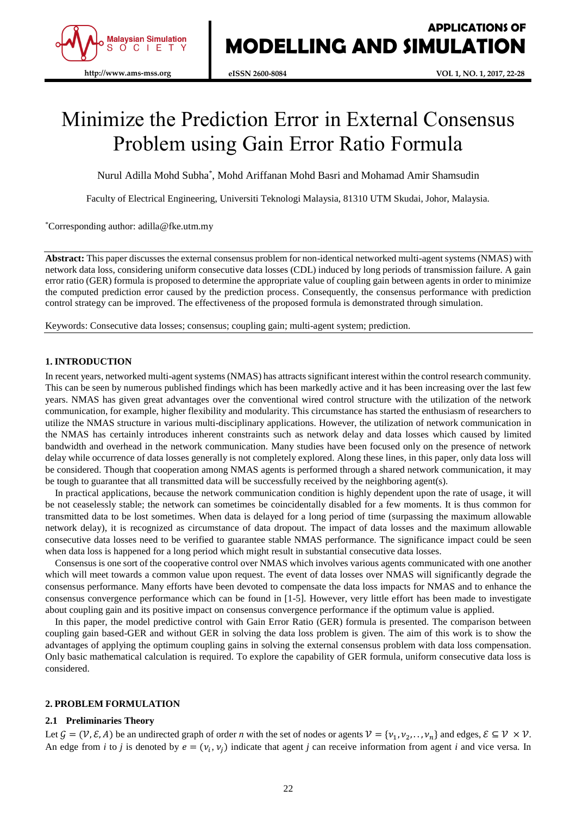

# Minimize the Prediction Error in External Consensus Problem using Gain Error Ratio Formula

Nurul Adilla Mohd Subha\* , Mohd Ariffanan Mohd Basri and Mohamad Amir Shamsudin

Faculty of Electrical Engineering, Universiti Teknologi Malaysia, 81310 UTM Skudai, Johor, Malaysia.

\*Corresponding author: adilla@fke.utm.my

**Abstract:** This paper discusses the external consensus problem for non-identical networked multi-agent systems (NMAS) with network data loss, considering uniform consecutive data losses (CDL) induced by long periods of transmission failure. A gain error ratio (GER) formula is proposed to determine the appropriate value of coupling gain between agents in order to minimize the computed prediction error caused by the prediction process. Consequently, the consensus performance with prediction control strategy can be improved. The effectiveness of the proposed formula is demonstrated through simulation.

Keywords: Consecutive data losses; consensus; coupling gain; multi-agent system; prediction.

## **1. INTRODUCTION**

In recent years, networked multi-agent systems (NMAS) has attracts significant interest within the control research community. This can be seen by numerous published findings which has been markedly active and it has been increasing over the last few years. NMAS has given great advantages over the conventional wired control structure with the utilization of the network communication, for example, higher flexibility and modularity. This circumstance has started the enthusiasm of researchers to utilize the NMAS structure in various multi-disciplinary applications. However, the utilization of network communication in the NMAS has certainly introduces inherent constraints such as network delay and data losses which caused by limited bandwidth and overhead in the network communication. Many studies have been focused only on the presence of network delay while occurrence of data losses generally is not completely explored. Along these lines, in this paper, only data loss will be considered. Though that cooperation among NMAS agents is performed through a shared network communication, it may be tough to guarantee that all transmitted data will be successfully received by the neighboring agent(s).

In practical applications, because the network communication condition is highly dependent upon the rate of usage, it will be not ceaselessly stable; the network can sometimes be coincidentally disabled for a few moments. It is thus common for transmitted data to be lost sometimes. When data is delayed for a long period of time (surpassing the maximum allowable network delay), it is recognized as circumstance of data dropout. The impact of data losses and the maximum allowable consecutive data losses need to be verified to guarantee stable NMAS performance. The significance impact could be seen when data loss is happened for a long period which might result in substantial consecutive data losses.

Consensus is one sort of the cooperative control over NMAS which involves various agents communicated with one another which will meet towards a common value upon request. The event of data losses over NMAS will significantly degrade the consensus performance. Many efforts have been devoted to compensate the data loss impacts for NMAS and to enhance the consensus convergence performance which can be found in [1-5]. However, very little effort has been made to investigate about coupling gain and its positive impact on consensus convergence performance if the optimum value is applied.

In this paper, the model predictive control with Gain Error Ratio (GER) formula is presented. The comparison between coupling gain based-GER and without GER in solving the data loss problem is given. The aim of this work is to show the advantages of applying the optimum coupling gains in solving the external consensus problem with data loss compensation. Only basic mathematical calculation is required. To explore the capability of GER formula, uniform consecutive data loss is considered.

# **2. PROBLEM FORMULATION**

## **2.1 Preliminaries Theory**

Let  $\mathcal{G} = (\mathcal{V}, \mathcal{E}, A)$  be an undirected graph of order *n* with the set of nodes or agents  $\mathcal{V} = \{v_1, v_2, \dots, v_n\}$  and edges,  $\mathcal{E} \subseteq \mathcal{V} \times \mathcal{V}$ . An edge from *i* to *j* is denoted by  $e = (v_i, v_j)$  indicate that agent *j* can receive information from agent *i* and vice versa. In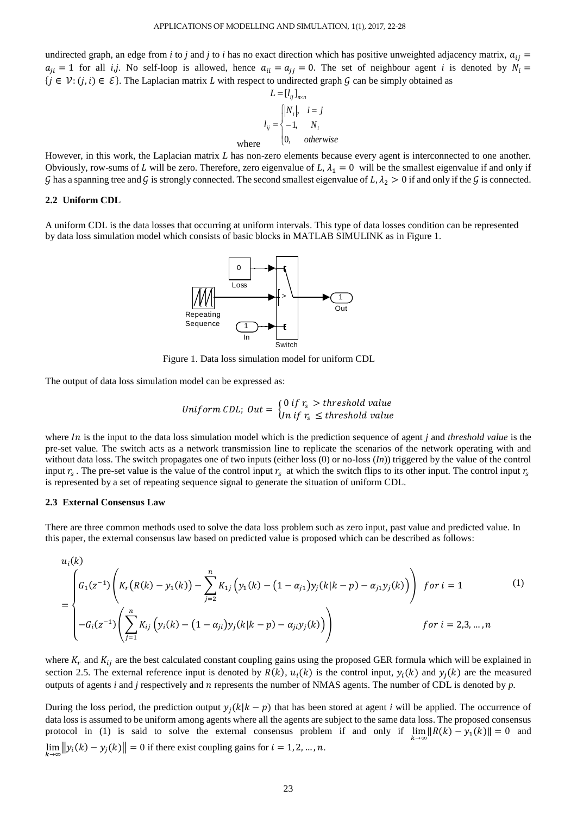undirected graph, an edge from *i* to *j* and *j* to *i* has no exact direction which has positive unweighted adjacency matrix,  $a_{ij}$  $a_{ji} = 1$  for all *i,j*. No self-loop is allowed, hence  $a_{ii} = a_{jj} = 0$ . The set of neighbour agent *i* is denoted by  $N_i =$  $\{j \in \mathcal{V}: (j, i) \in \mathcal{E}\}\.$  The Laplacian matrix L with respect to undirected graph G can be simply obtained as

$$
L = [l_{ij}]_{n \times n}
$$
  
\n
$$
l_{ij} = \begin{cases} |N_i|, & i = j \\ -1, & N_i \\ 0, & otherwise \end{cases}
$$
  
\nwhere

However, in this work, the Laplacian matrix *L* has non-zero elements because every agent is interconnected to one another. Obviously, row-sums of L will be zero. Therefore, zero eigenvalue of L,  $\lambda_1 = 0$  will be the smallest eigenvalue if and only if G has a spanning tree and G is strongly connected. The second smallest eigenvalue of L,  $\lambda_2 > 0$  if and only if the G is connected.

#### **2.2 Uniform CDL**

A uniform CDL is the data losses that occurring at uniform intervals. This type of data losses condition can be represented by data loss simulation model which consists of basic blocks in MATLAB SIMULINK as in Figure 1.



Figure 1. Data loss simulation model for uniform CDL

The output of data loss simulation model can be expressed as:

$$
Uniform \; CDL; \; Out = \begin{cases} 0 \; if \; r_s > threshold \; value \\ In \; if \; r_s \; \leq \; threshold \; value \end{cases}
$$

where *In* is the input to the data loss simulation model which is the prediction sequence of agent *j* and *threshold value* is the pre-set value*.* The switch acts as a network transmission line to replicate the scenarios of the network operating with and without data loss. The switch propagates one of two inputs (either loss (0) or no-loss (*In*)) triggered by the value of the control input  $r_s$ . The pre-set value is the value of the control input  $r_s$  at which the switch flips to its other input. The control input  $r_s$ is represented by a set of repeating sequence signal to generate the situation of uniform CDL.

## **2.3 External Consensus Law**

There are three common methods used to solve the data loss problem such as zero input, past value and predicted value. In this paper, the external consensus law based on predicted value is proposed which can be described as follows:

$$
u_i(k)
$$
\n
$$
= \begin{cases}\nG_1(z^{-1})\left(K_r(R(k) - y_1(k)) - \sum_{j=2}^n K_{1j}\left(y_1(k) - (1 - \alpha_{j1})y_j(k|k - p) - \alpha_{j1}y_j(k)\right)\right) & \text{for } i = 1 \\
-G_i(z^{-1})\left(\sum_{j=1}^n K_{ij}\left(y_i(k) - (1 - \alpha_{ji})y_j(k|k - p) - \alpha_{ji}y_j(k)\right)\right) & \text{for } i = 2, 3, ..., n\n\end{cases}
$$
\n(1)

where  $K_r$  and  $K_{ij}$  are the best calculated constant coupling gains using the proposed GER formula which will be explained in section 2.5. The external reference input is denoted by  $R(k)$ ,  $u_i(k)$  is the control input,  $y_i(k)$  and  $y_i(k)$  are the measured outputs of agents *i* and *j* respectively and represents the number of NMAS agents. The number of CDL is denoted by *p.* 

During the loss period, the prediction output  $y_i(k|k-p)$  that has been stored at agent *i* will be applied. The occurrence of data loss is assumed to be uniform among agents where all the agents are subject to the same data loss. The proposed consensus protocol in (1) is said to solve the external consensus problem if and only if  $\lim_{k\to\infty} ||R(k) - y_1(k)|| = 0$  and  $\lim_{k \to \infty} ||y_i(k) - y_j(k)|| = 0$  if there exist coupling gains for  $i = 1, 2, ..., n$ .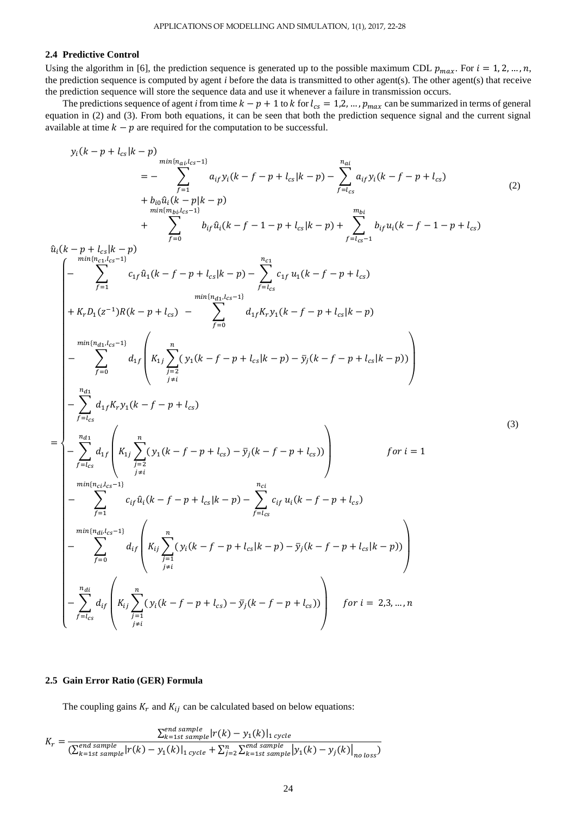# **2.4 Predictive Control**

=

Using the algorithm in [6], the prediction sequence is generated up to the possible maximum CDL  $p_{max}$ . For  $i = 1, 2, ..., n$ , the prediction sequence is computed by agent *i* before the data is transmitted to other agent(s). The other agent(s) that receive the prediction sequence will store the sequence data and use it whenever a failure in transmission occurs.

The predictions sequence of agent *i* from time  $k - p + 1$  to k for  $l_{cs} = 1, 2, ..., p_{max}$  can be summarized in terms of general equation in (2) and (3). From both equations, it can be seen that both the prediction sequence signal and the current signal available at time  $k - p$  are required for the computation to be successful.

$$
y_i(k-p+l_{cs}|k-p) = -\sum_{\substack{f=1 \text{min}(m_{at}/c=1) \\ m\neq 0}}^{n_{at}/k} a_{if}y_i(k-f-p+l_{cs}|k-p) - \sum_{\substack{f=1 \text{min}(m_{st}/c=1) \\ m\neq 0}}^{n_{at}/k} a_{if}y_i(k-f-p+l_{cs})
$$
\n
$$
+ \sum_{\substack{f=1 \text{min}(m_{at}/c=1) \\ m\neq 0}}^{n_{at}/k} b_{if}u_i(k-f-1-p+l_{cs}|k-p) + \sum_{\substack{f=1 \text{min}(m_{st}-1) \\ f=1 \text{min}(m_{st}/c=1)}}^{m_{at}/k} b_{if}u_i(k-f-1-p+l_{cs})
$$
\n
$$
+ K_r b_1(z^{-1})R(k-p+l_{cs}) - \sum_{\substack{f=1 \text{min}(m_{st}/c=1) \\ m\neq 0}}^{n_{at}/k} a_{if}y_i(k-f-p+l_{cs})
$$
\n
$$
+ K_r b_1(z^{-1})R(k-p+l_{cs}) - \sum_{\substack{f=1 \text{min}(m_{st}/c=1) \\ f=1}}^{n_{at}/k} d_{if} \begin{pmatrix} n & n & n_{st} \\ k_{if} \sum_{j=1}^{n_{st}} (y_i(k-f-p+l_{cs}|k-p) - \bar{y}_i(k-f-p+l_{cs}|k-p)) \end{pmatrix}
$$
\n
$$
+ \sum_{\substack{f=1 \text{max}(m_{st}/c=1) \\ f=1}}^{n_{at}/k} d_{if} \begin{pmatrix} n & n & n_{st} \\ k_{if} \sum_{j=2}^{n_{st}} (y_i(k-f-p+l_{cs}) - \bar{y}_i(k-f-p+l_{cs})) \end{pmatrix} \quad \text{for } i=1
$$
\n
$$
+ \sum_{\substack{f=1 \text{min}(m_{st}/c=1) \\ f=1}}^{n_{at}/k} d_{if} \begin{pmatrix} n & n_{st} \\ k_{if} \sum_{j=2}^{n_{st}} (y_i(k-f-p+l_{cs}|k-p) - \sum_{f=1 \text{min}(m_{st}/c=1) \\ f=1 \end{pmatrix} \quad \text{for } i=1
$$
\n
$$
+ \sum_{\substack{f=1 \text{min}(m_{st}/c=1) \\ f=1}}^{n_{at}/k}
$$

# **2.5 Gain Error Ratio (GER) Formula**

The coupling gains  $K_r$  and  $K_{ij}$  can be calculated based on below equations:

$$
K_r = \frac{\sum_{k=1st \, sample}^{end \, sample} |r(k) - y_1(k)|_{1 \, cycle}}{(\sum_{k=1st \, sample}^{end \, sample} |r(k) - y_1(k)|_{1 \, cycle} + \sum_{j=2}^{n} \sum_{k=1st \, sample}^{end \, sample} |y_1(k) - y_j(k)|_{no \, loss})}
$$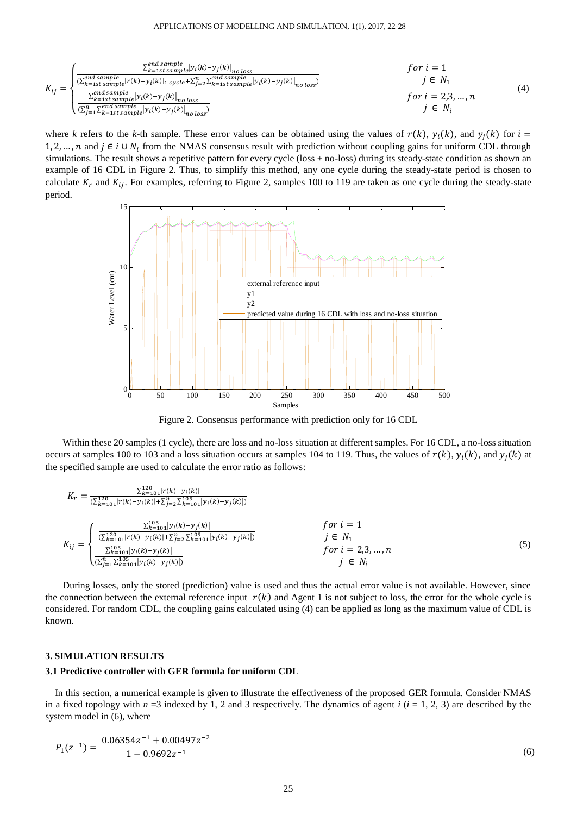#### APPLICATIONS OF MODELLING AND SIMULATION, 1(1), 2017, 22-28

$$
K_{ij} = \begin{cases} \frac{\sum_{k=1st}^{end} sample|y_i(k) - y_j(k)|_{no\ loss}}{\sum_{k=1st}^{end} sample|y_i(k) - y_j(k)|_{1\ cycles} + \sum_{j=2}^{n} \sum_{k=1st}^{end} sample|y_i(k) - y_j(k)|_{no\ loss}} & for\ i = 1\\ \frac{\sum_{k=1st}^{end} sample|y_i(k) - y_j(k)|_{no\ loss}}{\sum_{k=1st}^{end} sample|y_i(k) - y_j(k)|_{no\ loss}} & for\ i = 1\\ \frac{\sum_{k=1st}^{end} sample|y_i(k) - y_j(k)|_{no\ loss}}{\sum_{j=1}^{end} sample|y_i(k) - y_j(k)|_{no\ loss}} & for\ i = 1\\ \frac{\sum_{k=1st}^{end} sample|y_i(k) - y_j(k)|_{no\ loss}}{\sum_{j=1}^{end} sample|y_i(k) - y_j(k)|_{no\ loss}} & for\ i = 1\\ \frac{\sum_{k=1st}^{end} sample|y_i(k) - y_j(k)|_{no\ loss}}{\sum_{j=1}^{end} sample|y_i(k) - y_j(k)|_{no\ loss}} & for\ i = 1\\ \frac{\sum_{k=1st}^{end} sample|y_i(k) - y_j(k)|_{no\ loss}}{\sum_{j=1}^{end} sample|y_i(k) - y_j(k)|_{no\ loss}} & for\ i = 1
$$
\n
$$
(4)
$$

where *k* refers to the *k*-th sample. These error values can be obtained using the values of  $r(k)$ ,  $y_i(k)$ , and  $y_i(k)$  for  $i =$ 1, 2, ..., *n* and *j* ∈ *i* ∪  $N_i$  from the NMAS consensus result with prediction without coupling gains for uniform CDL through simulations. The result shows a repetitive pattern for every cycle (loss + no-loss) during its steady-state condition as shown an example of 16 CDL in [Figure 2.](#page-3-0) Thus, to simplify this method, any one cycle during the steady-state period is chosen to calculate  $K_r$  and  $K_{ij}$ . For examples, referring to [Figure 2,](#page-3-0) samples 100 to 119 are taken as one cycle during the steady-state period.



Figure 2. Consensus performance with prediction only for 16 CDL

<span id="page-3-0"></span>Within these 20 samples (1 cycle), there are loss and no-loss situation at different samples. For 16 CDL, a no-loss situation occurs at samples 100 to 103 and a loss situation occurs at samples 104 to 119. Thus, the values of  $r(k)$ ,  $y_i(k)$ , and  $y_i(k)$  at the specified sample are used to calculate the error ratio as follows:

$$
K_{r} = \frac{\sum_{k=101}^{120} |r(k) - y_{i}(k)|}{(\sum_{k=101}^{120} |r(k) - y_{i}(k)| + \sum_{j=2}^{n} \sum_{k=101}^{105} |y_{i}(k) - y_{j}(k)|)}
$$
  
\n
$$
K_{ij} = \begin{cases} \frac{\sum_{k=101}^{105} |y_{i}(k) - y_{j}(k)|}{(\sum_{k=101}^{120} |r(k) - y_{i}(k)| + \sum_{j=2}^{n} \sum_{k=101}^{105} |y_{i}(k) - y_{j}(k)|)} & \text{for } i = 1\\ \frac{\sum_{k=101}^{105} |y_{i}(k) - y_{j}(k)|}{(\sum_{j=1}^{n} \sum_{k=101}^{105} |y_{i}(k) - y_{j}(k)|)} & \text{for } i = 2, 3, ..., n\\ \frac{\sum_{k=101}^{105} |y_{i}(k) - y_{j}(k)|}{(\sum_{j=1}^{n} \sum_{k=101}^{105} |y_{i}(k) - y_{j}(k)|)} & \text{if } i = 2, 3, ..., n\\ \frac{\sum_{k=101}^{105} |y_{i}(k) - y_{j}(k)|}{(\sum_{j=1}^{n} \sum_{k=101}^{105} |y_{i}(k) - y_{j}(k)|)} & \text{if } i = 1\\ \frac{\sum_{k=101}^{105} |y_{i}(k) - y_{j}(k)|}{(\sum_{j=101}^{105} |y_{i}(k) - y_{j}(k)|)} & \text{if } i = 2, 3, ..., n \end{cases} (5)
$$

During losses, only the stored (prediction) value is used and thus the actual error value is not available. However, since the connection between the external reference input  $r(k)$  and Agent 1 is not subject to loss, the error for the whole cycle is considered. For random CDL, the coupling gains calculated using (4) can be applied as long as the maximum value of CDL is known.

#### **3. SIMULATION RESULTS**

# **3.1 Predictive controller with GER formula for uniform CDL**

In this section, a numerical example is given to illustrate the effectiveness of the proposed GER formula. Consider NMAS in a fixed topology with  $n = 3$  indexed by 1, 2 and 3 respectively. The dynamics of agent  $i$  ( $i = 1, 2, 3$ ) are described by the system model in (6), where

$$
P_1(z^{-1}) = \frac{0.06354z^{-1} + 0.00497z^{-2}}{1 - 0.9692z^{-1}}
$$
\n
$$
(6)
$$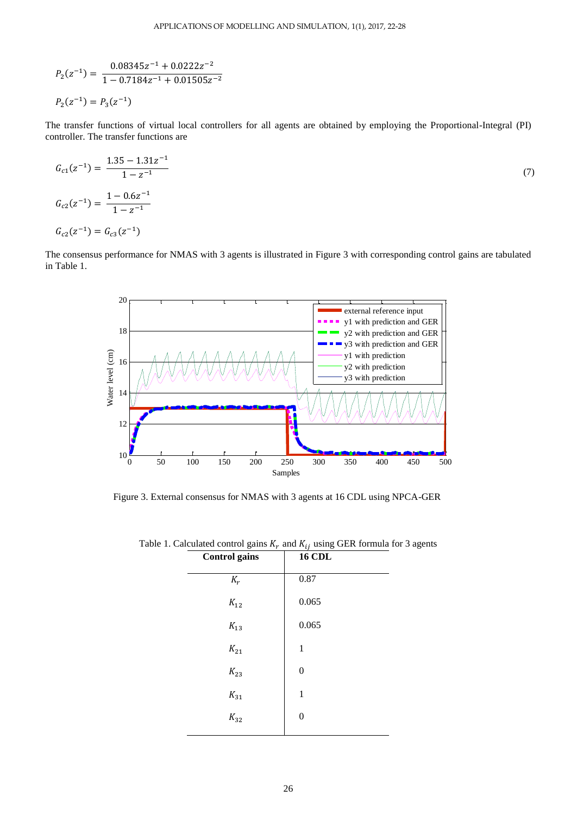$$
P_2(z^{-1}) = \frac{0.08345z^{-1} + 0.0222z^{-2}}{1 - 0.7184z^{-1} + 0.01505z^{-2}}
$$

$$
P_2(z^{-1}) = P_3(z^{-1})
$$

The transfer functions of virtual local controllers for all agents are obtained by employing the Proportional-Integral (PI) controller. The transfer functions are

$$
G_{c1}(z^{-1}) = \frac{1.35 - 1.31z^{-1}}{1 - z^{-1}}
$$
  
\n
$$
G_{c2}(z^{-1}) = \frac{1 - 0.6z^{-1}}{1 - z^{-1}}
$$
  
\n
$$
G_{c2}(z^{-1}) = G_{c3}(z^{-1})
$$
\n(7)

The consensus performance for NMAS with 3 agents is illustrated in [Figure 3](#page-4-0) with corresponding control gains are tabulated in [Table 1.](#page-4-1)



<span id="page-4-1"></span><span id="page-4-0"></span>Figure 3. External consensus for NMAS with 3 agents at 16 CDL using NPCA-GER

| <b>Control</b> gains | <b>16 CDL</b>    |
|----------------------|------------------|
| $K_r$                | 0.87             |
| $K_{12}$             | 0.065            |
| $K_{13}$             | 0.065            |
| $K_{21}$             | $\mathbf{1}$     |
| $K_{23}$             | $\boldsymbol{0}$ |
| $K_{31}$             | $\mathbf{1}$     |
| $K_{32}$             | $\boldsymbol{0}$ |
|                      |                  |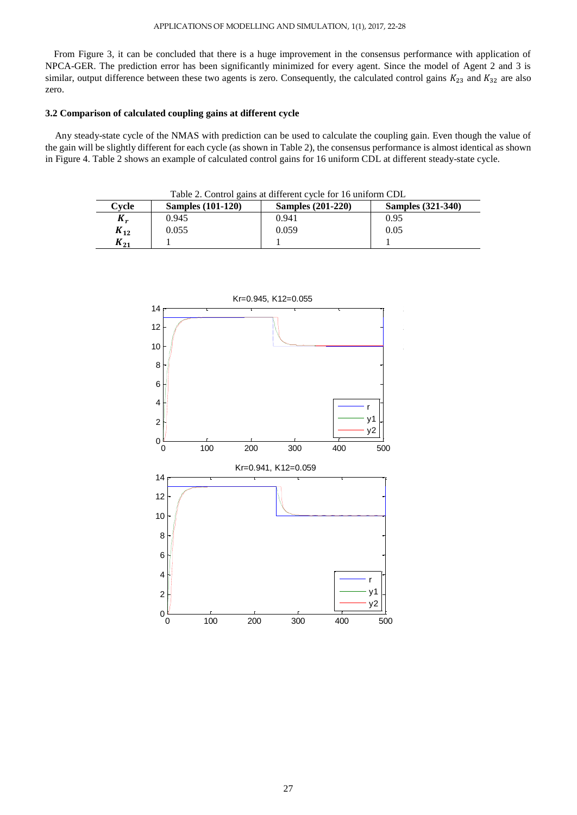From [Figure 3,](#page-4-0) it can be concluded that there is a huge improvement in the consensus performance with application of NPCA-GER. The prediction error has been significantly minimized for every agent. Since the model of Agent 2 and 3 is similar, output difference between these two agents is zero. Consequently, the calculated control gains  $K_{23}$  and  $K_{32}$  are also zero.

# **3.2 Comparison of calculated coupling gains at different cycle**

Any steady-state cycle of the NMAS with prediction can be used to calculate the coupling gain. Even though the value of the gain will be slightly different for each cycle (as shown in [Table 2\)](#page-5-0), the consensus performance is almost identical as shown in [Figure 4.](#page-6-0) [Table 2](#page-5-0) shows an example of calculated control gains for 16 uniform CDL at different steady-state cycle.

<span id="page-5-0"></span>

| Table 2. Control gains at different cycle for 16 uniform CDL |                          |                          |                          |
|--------------------------------------------------------------|--------------------------|--------------------------|--------------------------|
| Cvcle                                                        | <b>Samples</b> (101-120) | <b>Samples</b> (201-220) | <b>Samples</b> (321-340) |
| $K_r$                                                        | 0.945                    | 0.941                    | 0.95                     |
| $K_{12}$                                                     | 0.055                    | 0.059                    | 0.05                     |
| $K_{21}$                                                     |                          |                          |                          |



# 27